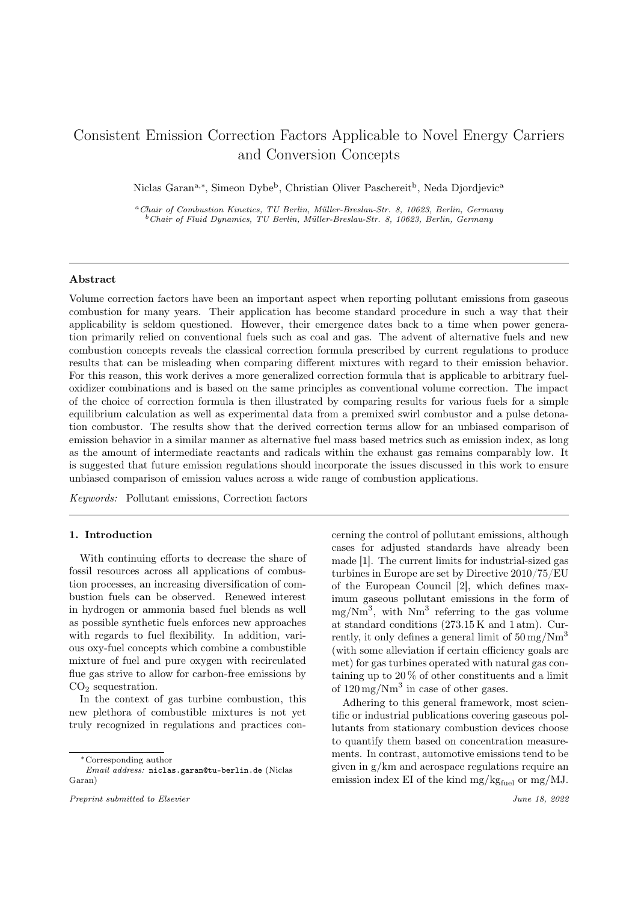# Consistent Emission Correction Factors Applicable to Novel Energy Carriers and Conversion Concepts

Niclas Garan<sup>a,∗</sup>, Simeon Dybe<sup>b</sup>, Christian Oliver Paschereit<sup>b</sup>, Neda Djordjevic<sup>a</sup>

<sup>a</sup>Chair of Combustion Kinetics, TU Berlin, Müller-Breslau-Str. 8, 10623, Berlin, Germany  $b$ Chair of Fluid Dynamics, TU Berlin, Müller-Breslau-Str. 8, 10623, Berlin, Germany

# Abstract

Volume correction factors have been an important aspect when reporting pollutant emissions from gaseous combustion for many years. Their application has become standard procedure in such a way that their applicability is seldom questioned. However, their emergence dates back to a time when power generation primarily relied on conventional fuels such as coal and gas. The advent of alternative fuels and new combustion concepts reveals the classical correction formula prescribed by current regulations to produce results that can be misleading when comparing different mixtures with regard to their emission behavior. For this reason, this work derives a more generalized correction formula that is applicable to arbitrary fueloxidizer combinations and is based on the same principles as conventional volume correction. The impact of the choice of correction formula is then illustrated by comparing results for various fuels for a simple equilibrium calculation as well as experimental data from a premixed swirl combustor and a pulse detonation combustor. The results show that the derived correction terms allow for an unbiased comparison of emission behavior in a similar manner as alternative fuel mass based metrics such as emission index, as long as the amount of intermediate reactants and radicals within the exhaust gas remains comparably low. It is suggested that future emission regulations should incorporate the issues discussed in this work to ensure unbiased comparison of emission values across a wide range of combustion applications.

Keywords: Pollutant emissions, Correction factors

# 1. Introduction

With continuing efforts to decrease the share of fossil resources across all applications of combustion processes, an increasing diversification of combustion fuels can be observed. Renewed interest in hydrogen or ammonia based fuel blends as well as possible synthetic fuels enforces new approaches with regards to fuel flexibility. In addition, various oxy-fuel concepts which combine a combustible mixture of fuel and pure oxygen with recirculated flue gas strive to allow for carbon-free emissions by  $CO<sub>2</sub>$  sequestration.

In the context of gas turbine combustion, this new plethora of combustible mixtures is not yet truly recognized in regulations and practices concerning the control of pollutant emissions, although cases for adjusted standards have already been made [1]. The current limits for industrial-sized gas turbines in Europe are set by Directive 2010/75/EU of the European Council [2], which defines maximum gaseous pollutant emissions in the form of  $mg/Nm<sup>3</sup>$ , with  $Nm<sup>3</sup>$  referring to the gas volume at standard conditions (273.15 K and 1 atm). Currently, it only defines a general limit of  $50 \,\mathrm{mg}/\mathrm{Nm}^3$ (with some alleviation if certain efficiency goals are met) for gas turbines operated with natural gas containing up to  $20\%$  of other constituents and a limit of  $120 \,\mathrm{mg}/\mathrm{Nm}^3$  in case of other gases.

Adhering to this general framework, most scientific or industrial publications covering gaseous pollutants from stationary combustion devices choose to quantify them based on concentration measurements. In contrast, automotive emissions tend to be given in g/km and aerospace regulations require an emission index EI of the kind mg/kg $_{\text{final}}$  or mg/MJ.

<sup>∗</sup>Corresponding author

Email address: niclas.garan@tu-berlin.de (Niclas Garan)

Preprint submitted to Elsevier  $\blacksquare$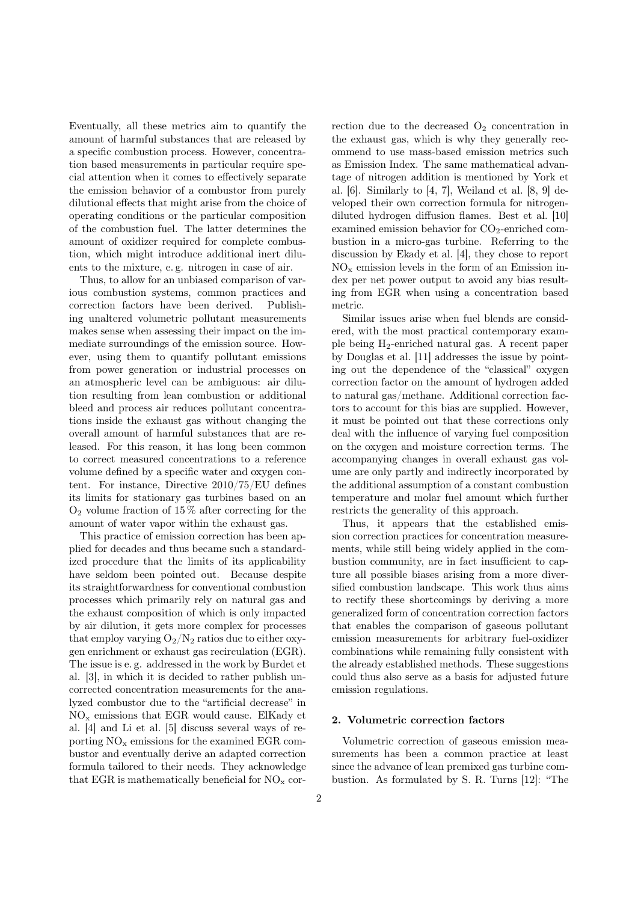Eventually, all these metrics aim to quantify the amount of harmful substances that are released by a specific combustion process. However, concentration based measurements in particular require special attention when it comes to effectively separate the emission behavior of a combustor from purely dilutional effects that might arise from the choice of operating conditions or the particular composition of the combustion fuel. The latter determines the amount of oxidizer required for complete combustion, which might introduce additional inert diluents to the mixture, e. g. nitrogen in case of air.

Thus, to allow for an unbiased comparison of various combustion systems, common practices and correction factors have been derived. Publishing unaltered volumetric pollutant measurements makes sense when assessing their impact on the immediate surroundings of the emission source. However, using them to quantify pollutant emissions from power generation or industrial processes on an atmospheric level can be ambiguous: air dilution resulting from lean combustion or additional bleed and process air reduces pollutant concentrations inside the exhaust gas without changing the overall amount of harmful substances that are released. For this reason, it has long been common to correct measured concentrations to a reference volume defined by a specific water and oxygen content. For instance, Directive 2010/75/EU defines its limits for stationary gas turbines based on an  $O<sub>2</sub>$  volume fraction of 15 % after correcting for the amount of water vapor within the exhaust gas.

This practice of emission correction has been applied for decades and thus became such a standardized procedure that the limits of its applicability have seldom been pointed out. Because despite its straightforwardness for conventional combustion processes which primarily rely on natural gas and the exhaust composition of which is only impacted by air dilution, it gets more complex for processes that employ varying  $O_2/N_2$  ratios due to either oxygen enrichment or exhaust gas recirculation (EGR). The issue is e. g. addressed in the work by Burdet et al. [3], in which it is decided to rather publish uncorrected concentration measurements for the analyzed combustor due to the "artificial decrease" in  $NO<sub>x</sub>$  emissions that EGR would cause. ElKady et al. [4] and Li et al. [5] discuss several ways of reporting  $NO<sub>x</sub>$  emissions for the examined EGR combustor and eventually derive an adapted correction formula tailored to their needs. They acknowledge that EGR is mathematically beneficial for  $NO_x$  correction due to the decreased  $O_2$  concentration in the exhaust gas, which is why they generally recommend to use mass-based emission metrics such as Emission Index. The same mathematical advantage of nitrogen addition is mentioned by York et al. [6]. Similarly to [4, 7], Weiland et al. [8, 9] developed their own correction formula for nitrogendiluted hydrogen diffusion flames. Best et al. [10] examined emission behavior for  $CO<sub>2</sub>$ -enriched combustion in a micro-gas turbine. Referring to the discussion by Ekady et al. [4], they chose to report  $NO<sub>x</sub>$  emission levels in the form of an Emission index per net power output to avoid any bias resulting from EGR when using a concentration based metric.

Similar issues arise when fuel blends are considered, with the most practical contemporary example being H2-enriched natural gas. A recent paper by Douglas et al. [11] addresses the issue by pointing out the dependence of the "classical" oxygen correction factor on the amount of hydrogen added to natural gas/methane. Additional correction factors to account for this bias are supplied. However, it must be pointed out that these corrections only deal with the influence of varying fuel composition on the oxygen and moisture correction terms. The accompanying changes in overall exhaust gas volume are only partly and indirectly incorporated by the additional assumption of a constant combustion temperature and molar fuel amount which further restricts the generality of this approach.

Thus, it appears that the established emission correction practices for concentration measurements, while still being widely applied in the combustion community, are in fact insufficient to capture all possible biases arising from a more diversified combustion landscape. This work thus aims to rectify these shortcomings by deriving a more generalized form of concentration correction factors that enables the comparison of gaseous pollutant emission measurements for arbitrary fuel-oxidizer combinations while remaining fully consistent with the already established methods. These suggestions could thus also serve as a basis for adjusted future emission regulations.

#### 2. Volumetric correction factors

Volumetric correction of gaseous emission measurements has been a common practice at least since the advance of lean premixed gas turbine combustion. As formulated by S. R. Turns [12]: "The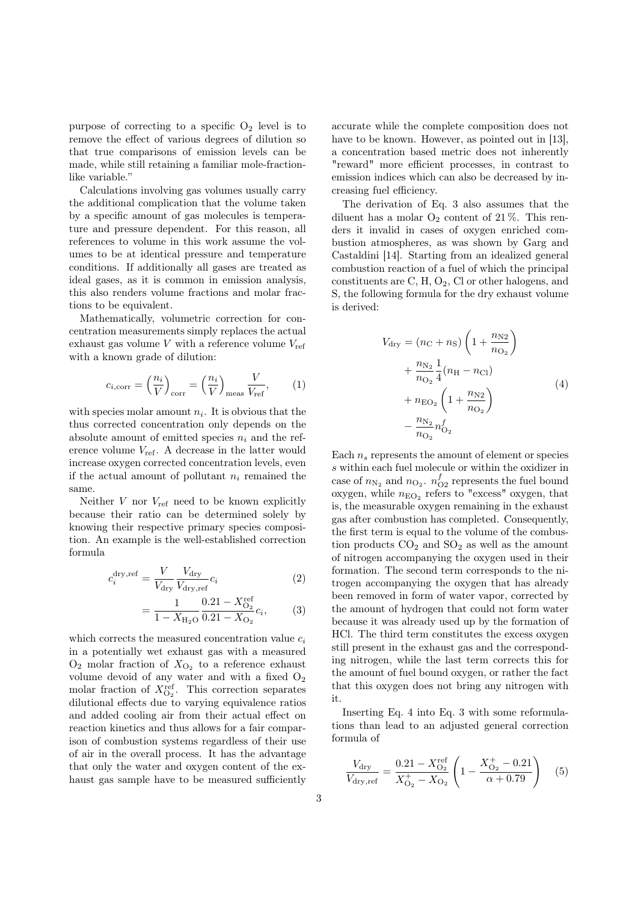purpose of correcting to a specific  $O_2$  level is to remove the effect of various degrees of dilution so that true comparisons of emission levels can be made, while still retaining a familiar mole-fractionlike variable."

Calculations involving gas volumes usually carry the additional complication that the volume taken by a specific amount of gas molecules is temperature and pressure dependent. For this reason, all references to volume in this work assume the volumes to be at identical pressure and temperature conditions. If additionally all gases are treated as ideal gases, as it is common in emission analysis, this also renders volume fractions and molar fractions to be equivalent.

Mathematically, volumetric correction for concentration measurements simply replaces the actual exhaust gas volume  $V$  with a reference volume  $V_{ref}$ with a known grade of dilution:

$$
c_{i, \text{corr}} = \left(\frac{n_i}{V}\right)_{\text{corr}} = \left(\frac{n_i}{V}\right)_{\text{meas}} \frac{V}{V_{\text{ref}}},\qquad(1)
$$

with species molar amount  $n_i$ . It is obvious that the thus corrected concentration only depends on the absolute amount of emitted species  $n_i$  and the reference volume  $V_{ref}$ . A decrease in the latter would increase oxygen corrected concentration levels, even if the actual amount of pollutant  $n_i$  remained the same.

Neither  $V$  nor  $V_{ref}$  need to be known explicitly because their ratio can be determined solely by knowing their respective primary species composition. An example is the well-established correction formula

$$
c_i^{\text{dry,ref}} = \frac{V}{V_{\text{dry}}} \frac{V_{\text{dry}}}{V_{\text{dry,ref}}} c_i
$$
 (2)

$$
=\frac{1}{1-X_{\text{H}_2\text{O}}}\frac{0.21-X_{\text{O}_2}^{\text{ref}}}{0.21-X_{\text{O}_2}}c_i,\qquad(3)
$$

which corrects the measured concentration value  $c_i$ in a potentially wet exhaust gas with a measured  $O_2$  molar fraction of  $X_{O_2}$  to a reference exhaust volume devoid of any water and with a fixed  $O_2$ molar fraction of  $X_{\text{O}_2}^{\text{ref}}$ . This correction separates dilutional effects due to varying equivalence ratios and added cooling air from their actual effect on reaction kinetics and thus allows for a fair comparison of combustion systems regardless of their use of air in the overall process. It has the advantage that only the water and oxygen content of the exhaust gas sample have to be measured sufficiently accurate while the complete composition does not have to be known. However, as pointed out in [13], a concentration based metric does not inherently "reward" more efficient processes, in contrast to emission indices which can also be decreased by increasing fuel efficiency.

The derivation of Eq. 3 also assumes that the diluent has a molar  $O_2$  content of 21%. This renders it invalid in cases of oxygen enriched combustion atmospheres, as was shown by Garg and Castaldini [14]. Starting from an idealized general combustion reaction of a fuel of which the principal constituents are  $C, H, O<sub>2</sub>, Cl$  or other halogens, and S, the following formula for the dry exhaust volume is derived:

$$
V_{\text{dry}} = (n_{\text{C}} + n_{\text{S}}) \left( 1 + \frac{n_{\text{N2}}}{n_{\text{O}_2}} \right) + \frac{n_{\text{N}_2}}{n_{\text{O}_2}} \frac{1}{4} (n_{\text{H}} - n_{\text{Cl}}) + n_{\text{EO}_2} \left( 1 + \frac{n_{\text{N2}}}{n_{\text{O}_2}} \right) - \frac{n_{\text{N}_2}}{n_{\text{O}_2}} n_{\text{O}_2}^f
$$
(4)

Each  $n_s$  represents the amount of element or species s within each fuel molecule or within the oxidizer in case of  $n_{\text{N}_2}$  and  $n_{\text{O}_2}$ .  $n_{\text{O}_2}^f$  represents the fuel bound oxygen, while  $n_{\text{EO}_2}$  refers to "excess" oxygen, that is, the measurable oxygen remaining in the exhaust gas after combustion has completed. Consequently, the first term is equal to the volume of the combustion products  $CO<sub>2</sub>$  and  $SO<sub>2</sub>$  as well as the amount of nitrogen accompanying the oxygen used in their formation. The second term corresponds to the nitrogen accompanying the oxygen that has already been removed in form of water vapor, corrected by the amount of hydrogen that could not form water because it was already used up by the formation of HCl. The third term constitutes the excess oxygen still present in the exhaust gas and the corresponding nitrogen, while the last term corrects this for the amount of fuel bound oxygen, or rather the fact that this oxygen does not bring any nitrogen with it.

Inserting Eq. 4 into Eq. 3 with some reformulations than lead to an adjusted general correction formula of

$$
\frac{V_{\text{dry}}}{V_{\text{dry},\text{ref}}} = \frac{0.21 - X_{\text{O}_2}^{\text{ref}}}{X_{\text{O}_2}^+ - X_{\text{O}_2}} \left(1 - \frac{X_{\text{O}_2}^+ - 0.21}{\alpha + 0.79}\right) \tag{5}
$$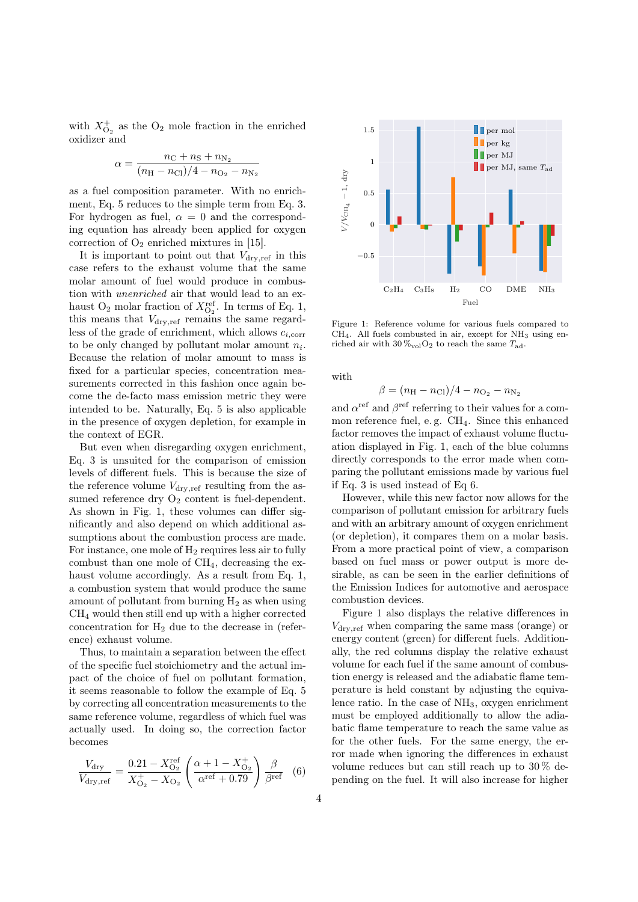with  $X_{\mathcal{O}_2}^+$  as the  $\mathcal{O}_2$  mole fraction in the enriched oxidizer and

$$
\alpha = \frac{n_{\rm C} + n_{\rm S} + n_{\rm N_2}}{(n_{\rm H} - n_{\rm Cl})/4 - n_{\rm O_2} - n_{\rm N_2}}
$$

as a fuel composition parameter. With no enrichment, Eq. 5 reduces to the simple term from Eq. 3. For hydrogen as fuel,  $\alpha = 0$  and the corresponding equation has already been applied for oxygen correction of  $O_2$  enriched mixtures in [15].

It is important to point out that  $V_{\text{dry,ref}}$  in this case refers to the exhaust volume that the same molar amount of fuel would produce in combustion with unenriched air that would lead to an exhaust O<sub>2</sub> molar fraction of  $X_{\text{O}_2}^{\text{ref}}$ . In terms of Eq. 1, this means that  $V_{\text{dry,ref}}$  remains the same regardless of the grade of enrichment, which allows  $c_{i,corr}$ to be only changed by pollutant molar amount  $n_i$ . Because the relation of molar amount to mass is fixed for a particular species, concentration measurements corrected in this fashion once again become the de-facto mass emission metric they were intended to be. Naturally, Eq. 5 is also applicable in the presence of oxygen depletion, for example in the context of EGR.

But even when disregarding oxygen enrichment, Eq. 3 is unsuited for the comparison of emission levels of different fuels. This is because the size of the reference volume  $V_{\text{dry,ref}}$  resulting from the assumed reference dry  $O_2$  content is fuel-dependent. As shown in Fig. 1, these volumes can differ significantly and also depend on which additional assumptions about the combustion process are made. For instance, one mole of  $H_2$  requires less air to fully combust than one mole of  $CH<sub>4</sub>$ , decreasing the exhaust volume accordingly. As a result from Eq. 1, a combustion system that would produce the same amount of pollutant from burning  $H_2$  as when using CH<sup>4</sup> would then still end up with a higher corrected concentration for  $H_2$  due to the decrease in (reference) exhaust volume.

Thus, to maintain a separation between the effect of the specific fuel stoichiometry and the actual impact of the choice of fuel on pollutant formation, it seems reasonable to follow the example of Eq. 5 by correcting all concentration measurements to the same reference volume, regardless of which fuel was actually used. In doing so, the correction factor becomes

$$
\frac{V_{\rm dry}}{V_{\rm dry,ref}} = \frac{0.21 - X_{\rm O_2}^{\rm ref}}{X_{\rm O_2}^+ - X_{\rm O_2}} \left( \frac{\alpha + 1 - X_{\rm O_2}^+}{\alpha^{\rm ref} + 0.79} \right) \frac{\beta}{\beta^{\rm ref}} \quad (6)
$$



Figure 1: Reference volume for various fuels compared to  $CH<sub>4</sub>$ . All fuels combusted in air, except for NH<sub>3</sub> using enriched air with  $30\,\%_{\text{vol}}O_2$  to reach the same  $T_{\text{ad}}$ .

with

$$
\beta = (n_{\rm H} - n_{\rm Cl})/4 - n_{\rm O_2} - n_{\rm N_2}
$$

and  $\alpha^{\text{ref}}$  and  $\beta^{\text{ref}}$  referring to their values for a common reference fuel, e.g.  $CH<sub>4</sub>$ . Since this enhanced factor removes the impact of exhaust volume fluctuation displayed in Fig. 1, each of the blue columns directly corresponds to the error made when comparing the pollutant emissions made by various fuel if Eq. 3 is used instead of Eq 6.

However, while this new factor now allows for the comparison of pollutant emission for arbitrary fuels and with an arbitrary amount of oxygen enrichment (or depletion), it compares them on a molar basis. From a more practical point of view, a comparison based on fuel mass or power output is more desirable, as can be seen in the earlier definitions of the Emission Indices for automotive and aerospace combustion devices.

Figure 1 also displays the relative differences in  $V_{\text{drv,ref}}$  when comparing the same mass (orange) or energy content (green) for different fuels. Additionally, the red columns display the relative exhaust volume for each fuel if the same amount of combustion energy is released and the adiabatic flame temperature is held constant by adjusting the equivalence ratio. In the case of  $NH<sub>3</sub>$ , oxygen enrichment must be employed additionally to allow the adiabatic flame temperature to reach the same value as for the other fuels. For the same energy, the error made when ignoring the differences in exhaust volume reduces but can still reach up to 30 % depending on the fuel. It will also increase for higher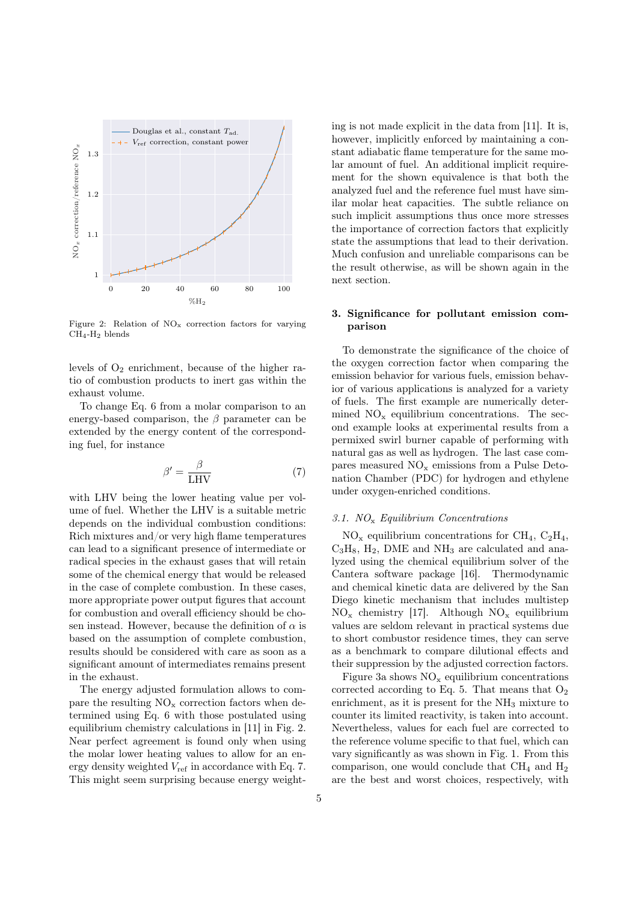

Figure 2: Relation of  $NO_x$  correction factors for varying  $CH_4$ -H<sub>2</sub> blends

levels of O<sup>2</sup> enrichment, because of the higher ratio of combustion products to inert gas within the exhaust volume.

To change Eq. 6 from a molar comparison to an energy-based comparison, the  $\beta$  parameter can be extended by the energy content of the corresponding fuel, for instance

$$
\beta' = \frac{\beta}{LHV} \tag{7}
$$

with LHV being the lower heating value per volume of fuel. Whether the LHV is a suitable metric depends on the individual combustion conditions: Rich mixtures and/or very high flame temperatures can lead to a significant presence of intermediate or radical species in the exhaust gases that will retain some of the chemical energy that would be released in the case of complete combustion. In these cases, more appropriate power output figures that account for combustion and overall efficiency should be chosen instead. However, because the definition of  $\alpha$  is based on the assumption of complete combustion, results should be considered with care as soon as a significant amount of intermediates remains present in the exhaust.

The energy adjusted formulation allows to compare the resulting  $NO_x$  correction factors when determined using Eq. 6 with those postulated using equilibrium chemistry calculations in [11] in Fig. 2. Near perfect agreement is found only when using the molar lower heating values to allow for an energy density weighted  $V_{ref}$  in accordance with Eq. 7. This might seem surprising because energy weighting is not made explicit in the data from [11]. It is, however, implicitly enforced by maintaining a constant adiabatic flame temperature for the same molar amount of fuel. An additional implicit requirement for the shown equivalence is that both the analyzed fuel and the reference fuel must have similar molar heat capacities. The subtle reliance on such implicit assumptions thus once more stresses the importance of correction factors that explicitly state the assumptions that lead to their derivation. Much confusion and unreliable comparisons can be the result otherwise, as will be shown again in the next section.

# 3. Significance for pollutant emission comparison

To demonstrate the significance of the choice of the oxygen correction factor when comparing the emission behavior for various fuels, emission behavior of various applications is analyzed for a variety of fuels. The first example are numerically determined  $NO_x$  equilibrium concentrations. The second example looks at experimental results from a permixed swirl burner capable of performing with natural gas as well as hydrogen. The last case compares measured  $NO_x$  emissions from a Pulse Detonation Chamber (PDC) for hydrogen and ethylene under oxygen-enriched conditions.

#### 3.1.  $NO_x$  Equilibrium Concentrations

 $NO<sub>x</sub>$  equilibrium concentrations for CH<sub>4</sub>, C<sub>2</sub>H<sub>4</sub>,  $C_3H_8$ ,  $H_2$ , DME and NH<sub>3</sub> are calculated and analyzed using the chemical equilibrium solver of the Cantera software package [16]. Thermodynamic and chemical kinetic data are delivered by the San Diego kinetic mechanism that includes multistep  $NO_x$  chemistry [17]. Although  $NO_x$  equilibrium values are seldom relevant in practical systems due to short combustor residence times, they can serve as a benchmark to compare dilutional effects and their suppression by the adjusted correction factors.

Figure 3a shows  $NO<sub>x</sub>$  equilibrium concentrations corrected according to Eq. 5. That means that  $O_2$ enrichment, as it is present for the  $NH<sub>3</sub>$  mixture to counter its limited reactivity, is taken into account. Nevertheless, values for each fuel are corrected to the reference volume specific to that fuel, which can vary significantly as was shown in Fig. 1. From this comparison, one would conclude that  $\text{CH}_4$  and  $\text{H}_2$ are the best and worst choices, respectively, with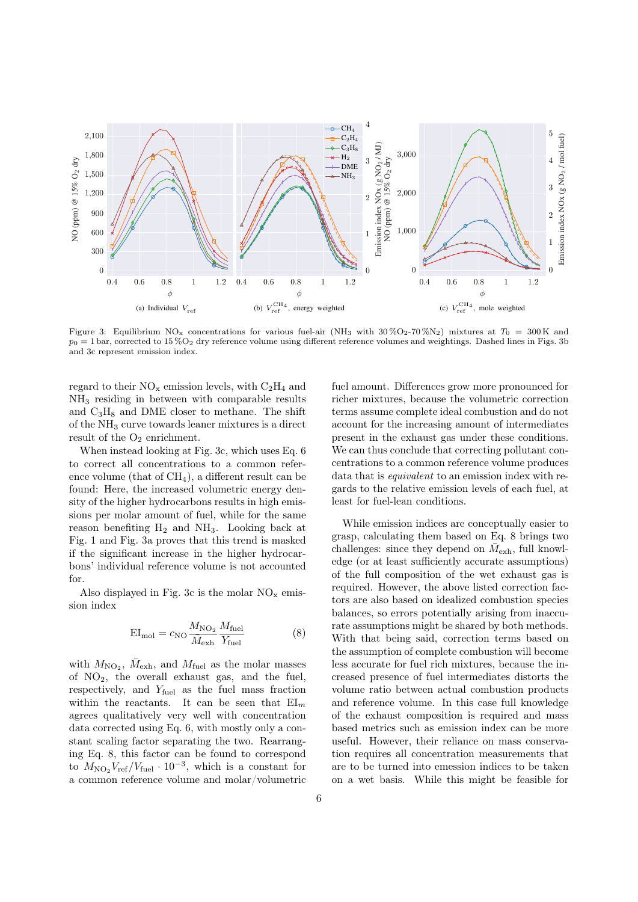

Figure 3: Equilibrium NO<sub>x</sub> concentrations for various fuel-air (NH<sub>3</sub> with 30%O<sub>2</sub>-70%N<sub>2</sub>) mixtures at  $T_0 = 300$ K and  $p_0 = 1$  bar, corrected to 15 %O<sub>2</sub> dry reference volume using different reference volumes and weightings. Dashed lines in Figs. 3b and 3c represent emission index.

regard to their  $NO_x$  emission levels, with  $C_2H_4$  and NH<sup>3</sup> residing in between with comparable results and  $C_3H_8$  and DME closer to methane. The shift of the NH<sup>3</sup> curve towards leaner mixtures is a direct result of the  $O_2$  enrichment.

When instead looking at Fig. 3c, which uses Eq. 6 to correct all concentrations to a common reference volume (that of  $CH<sub>4</sub>$ ), a different result can be found: Here, the increased volumetric energy density of the higher hydrocarbons results in high emissions per molar amount of fuel, while for the same reason benefiting  $H_2$  and  $NH_3$ . Looking back at Fig. 1 and Fig. 3a proves that this trend is masked if the significant increase in the higher hydrocarbons' individual reference volume is not accounted for.

Also displayed in Fig. 3c is the molar  $NO_x$  emission index

$$
EI_{\text{mol}} = c_{\text{NO}} \frac{M_{\text{NO}_2}}{\bar{M}_{\text{exh}}} \frac{M_{\text{fuel}}}{Y_{\text{fuel}}}
$$
 (8)

with  $M_{\text{NO}_2}$ ,  $\bar{M}_{\text{exh}}$ , and  $M_{\text{fuel}}$  as the molar masses of  $NO<sub>2</sub>$ , the overall exhaust gas, and the fuel, respectively, and  $Y_{\text{fuel}}$  as the fuel mass fraction within the reactants. It can be seen that  $EI_m$ agrees qualitatively very well with concentration data corrected using Eq. 6, with mostly only a constant scaling factor separating the two. Rearranging Eq. 8, this factor can be found to correspond to  $M_{\text{NO}_2}V_{\text{ref}}/V_{\text{fuel}} \cdot 10^{-3}$ , which is a constant for a common reference volume and molar/volumetric fuel amount. Differences grow more pronounced for richer mixtures, because the volumetric correction terms assume complete ideal combustion and do not account for the increasing amount of intermediates present in the exhaust gas under these conditions. We can thus conclude that correcting pollutant concentrations to a common reference volume produces data that is equivalent to an emission index with regards to the relative emission levels of each fuel, at least for fuel-lean conditions.

While emission indices are conceptually easier to grasp, calculating them based on Eq. 8 brings two challenges: since they depend on  $\bar{M}_{\text{exh}}$ , full knowledge (or at least sufficiently accurate assumptions) of the full composition of the wet exhaust gas is required. However, the above listed correction factors are also based on idealized combustion species balances, so errors potentially arising from inaccurate assumptions might be shared by both methods. With that being said, correction terms based on the assumption of complete combustion will become less accurate for fuel rich mixtures, because the increased presence of fuel intermediates distorts the volume ratio between actual combustion products and reference volume. In this case full knowledge of the exhaust composition is required and mass based metrics such as emission index can be more useful. However, their reliance on mass conservation requires all concentration measurements that are to be turned into emession indices to be taken on a wet basis. While this might be feasible for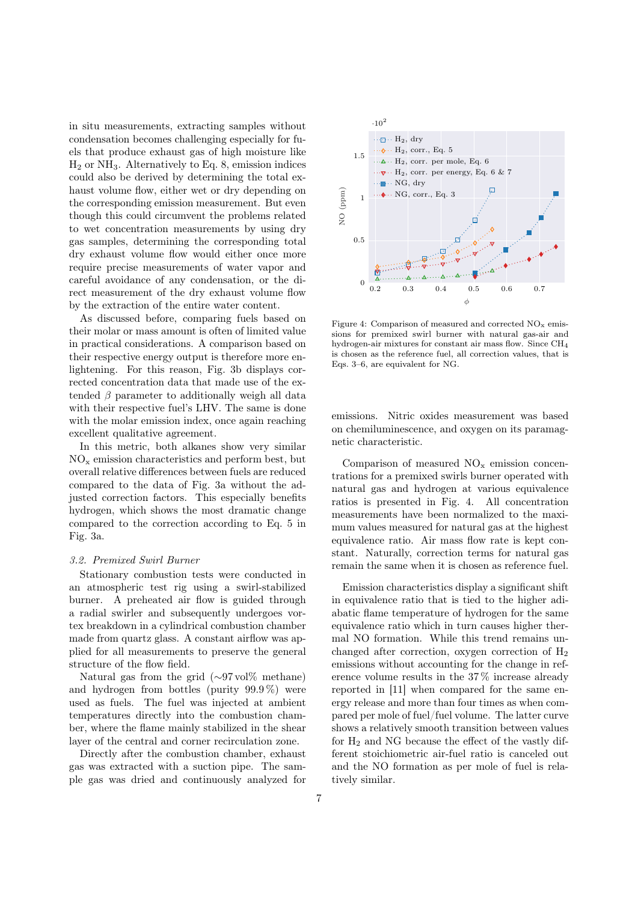in situ measurements, extracting samples without condensation becomes challenging especially for fuels that produce exhaust gas of high moisture like  $H<sub>2</sub>$  or NH<sub>3</sub>. Alternatively to Eq. 8, emission indices could also be derived by determining the total exhaust volume flow, either wet or dry depending on the corresponding emission measurement. But even though this could circumvent the problems related to wet concentration measurements by using dry gas samples, determining the corresponding total dry exhaust volume flow would either once more require precise measurements of water vapor and careful avoidance of any condensation, or the direct measurement of the dry exhaust volume flow by the extraction of the entire water content.

As discussed before, comparing fuels based on their molar or mass amount is often of limited value in practical considerations. A comparison based on their respective energy output is therefore more enlightening. For this reason, Fig. 3b displays corrected concentration data that made use of the extended  $\beta$  parameter to additionally weigh all data with their respective fuel's LHV. The same is done with the molar emission index, once again reaching excellent qualitative agreement.

In this metric, both alkanes show very similar  $NO<sub>x</sub>$  emission characteristics and perform best, but overall relative differences between fuels are reduced compared to the data of Fig. 3a without the adjusted correction factors. This especially benefits hydrogen, which shows the most dramatic change compared to the correction according to Eq. 5 in Fig. 3a.

## 3.2. Premixed Swirl Burner

Stationary combustion tests were conducted in an atmospheric test rig using a swirl-stabilized burner. A preheated air flow is guided through a radial swirler and subsequently undergoes vortex breakdown in a cylindrical combustion chamber made from quartz glass. A constant airflow was applied for all measurements to preserve the general structure of the flow field.

Natural gas from the grid (∼97 vol% methane) and hydrogen from bottles (purity  $99.9\%$ ) were used as fuels. The fuel was injected at ambient temperatures directly into the combustion chamber, where the flame mainly stabilized in the shear layer of the central and corner recirculation zone.

Directly after the combustion chamber, exhaust gas was extracted with a suction pipe. The sample gas was dried and continuously analyzed for



Figure 4: Comparison of measured and corrected  $NO<sub>x</sub>$  emissions for premixed swirl burner with natural gas-air and hydrogen-air mixtures for constant air mass flow. Since CH<sub>4</sub> is chosen as the reference fuel, all correction values, that is Eqs. 3–6, are equivalent for NG.

emissions. Nitric oxides measurement was based on chemiluminescence, and oxygen on its paramagnetic characteristic.

Comparison of measured  $NO<sub>x</sub>$  emission concentrations for a premixed swirls burner operated with natural gas and hydrogen at various equivalence ratios is presented in Fig. 4. All concentration measurements have been normalized to the maximum values measured for natural gas at the highest equivalence ratio. Air mass flow rate is kept constant. Naturally, correction terms for natural gas remain the same when it is chosen as reference fuel.

Emission characteristics display a significant shift in equivalence ratio that is tied to the higher adiabatic flame temperature of hydrogen for the same equivalence ratio which in turn causes higher thermal NO formation. While this trend remains unchanged after correction, oxygen correction of  $H_2$ emissions without accounting for the change in reference volume results in the 37 % increase already reported in [11] when compared for the same energy release and more than four times as when compared per mole of fuel/fuel volume. The latter curve shows a relatively smooth transition between values for  $H_2$  and NG because the effect of the vastly different stoichiometric air-fuel ratio is canceled out and the NO formation as per mole of fuel is relatively similar.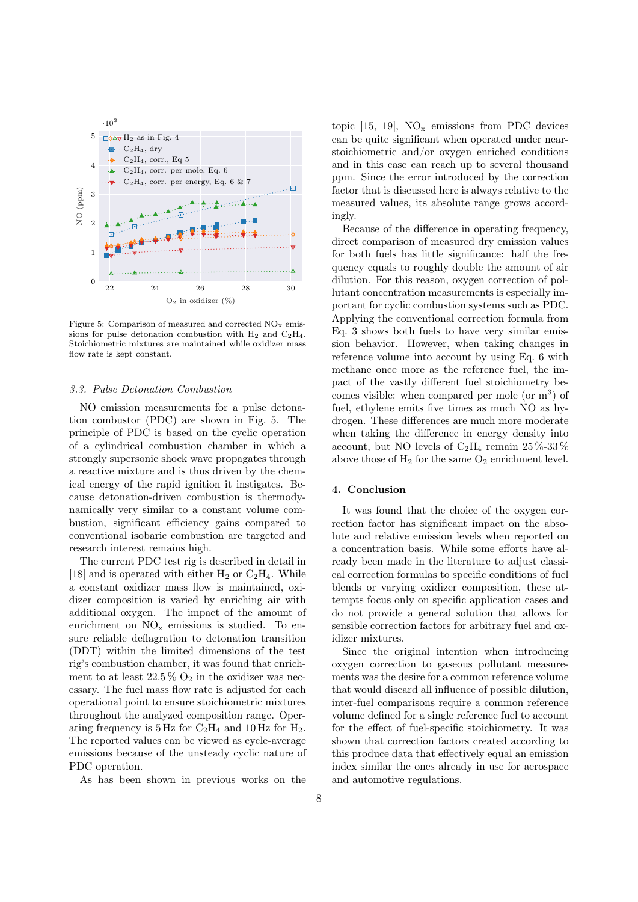

Figure 5: Comparison of measured and corrected  $NO_x$  emissions for pulse detonation combustion with  $H_2$  and  $C_2H_4$ . Stoichiometric mixtures are maintained while oxidizer mass flow rate is kept constant.

#### 3.3. Pulse Detonation Combustion

NO emission measurements for a pulse detonation combustor (PDC) are shown in Fig. 5. The principle of PDC is based on the cyclic operation of a cylindrical combustion chamber in which a strongly supersonic shock wave propagates through a reactive mixture and is thus driven by the chemical energy of the rapid ignition it instigates. Because detonation-driven combustion is thermodynamically very similar to a constant volume combustion, significant efficiency gains compared to conventional isobaric combustion are targeted and research interest remains high.

The current PDC test rig is described in detail in [18] and is operated with either  $H_2$  or  $C_2H_4$ . While a constant oxidizer mass flow is maintained, oxidizer composition is varied by enriching air with additional oxygen. The impact of the amount of enrichment on  $NO_x$  emissions is studied. To ensure reliable deflagration to detonation transition (DDT) within the limited dimensions of the test rig's combustion chamber, it was found that enrichment to at least  $22.5\%$  O<sub>2</sub> in the oxidizer was necessary. The fuel mass flow rate is adjusted for each operational point to ensure stoichiometric mixtures throughout the analyzed composition range. Operating frequency is  $5 \text{ Hz}$  for  $\text{C}_2\text{H}_4$  and  $10 \text{ Hz}$  for  $\text{H}_2$ . The reported values can be viewed as cycle-average emissions because of the unsteady cyclic nature of PDC operation.

As has been shown in previous works on the

topic  $[15, 19]$ , NO<sub>x</sub> emissions from PDC devices can be quite significant when operated under nearstoichiometric and/or oxygen enriched conditions and in this case can reach up to several thousand ppm. Since the error introduced by the correction factor that is discussed here is always relative to the measured values, its absolute range grows accordingly.

Because of the difference in operating frequency, direct comparison of measured dry emission values for both fuels has little significance: half the frequency equals to roughly double the amount of air dilution. For this reason, oxygen correction of pollutant concentration measurements is especially important for cyclic combustion systems such as PDC. Applying the conventional correction formula from Eq. 3 shows both fuels to have very similar emission behavior. However, when taking changes in reference volume into account by using Eq. 6 with methane once more as the reference fuel, the impact of the vastly different fuel stoichiometry becomes visible: when compared per mole (or  $m<sup>3</sup>$ ) of fuel, ethylene emits five times as much NO as hydrogen. These differences are much more moderate when taking the difference in energy density into account, but NO levels of  $C_2H_4$  remain  $25\%$ -33% above those of  $H_2$  for the same  $O_2$  enrichment level.

# 4. Conclusion

It was found that the choice of the oxygen correction factor has significant impact on the absolute and relative emission levels when reported on a concentration basis. While some efforts have already been made in the literature to adjust classical correction formulas to specific conditions of fuel blends or varying oxidizer composition, these attempts focus only on specific application cases and do not provide a general solution that allows for sensible correction factors for arbitrary fuel and oxidizer mixtures.

Since the original intention when introducing oxygen correction to gaseous pollutant measurements was the desire for a common reference volume that would discard all influence of possible dilution, inter-fuel comparisons require a common reference volume defined for a single reference fuel to account for the effect of fuel-specific stoichiometry. It was shown that correction factors created according to this produce data that effectively equal an emission index similar the ones already in use for aerospace and automotive regulations.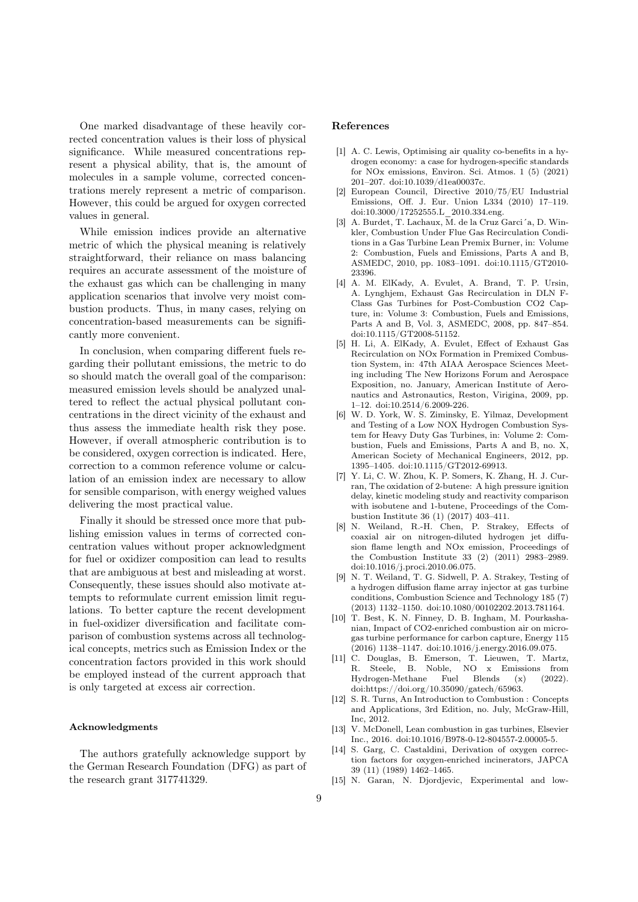One marked disadvantage of these heavily corrected concentration values is their loss of physical significance. While measured concentrations represent a physical ability, that is, the amount of molecules in a sample volume, corrected concentrations merely represent a metric of comparison. However, this could be argued for oxygen corrected values in general.

While emission indices provide an alternative metric of which the physical meaning is relatively straightforward, their reliance on mass balancing requires an accurate assessment of the moisture of the exhaust gas which can be challenging in many application scenarios that involve very moist combustion products. Thus, in many cases, relying on concentration-based measurements can be significantly more convenient.

In conclusion, when comparing different fuels regarding their pollutant emissions, the metric to do so should match the overall goal of the comparison: measured emission levels should be analyzed unaltered to reflect the actual physical pollutant concentrations in the direct vicinity of the exhaust and thus assess the immediate health risk they pose. However, if overall atmospheric contribution is to be considered, oxygen correction is indicated. Here, correction to a common reference volume or calculation of an emission index are necessary to allow for sensible comparison, with energy weighed values delivering the most practical value.

Finally it should be stressed once more that publishing emission values in terms of corrected concentration values without proper acknowledgment for fuel or oxidizer composition can lead to results that are ambiguous at best and misleading at worst. Consequently, these issues should also motivate attempts to reformulate current emission limit regulations. To better capture the recent development in fuel-oxidizer diversification and facilitate comparison of combustion systems across all technological concepts, metrics such as Emission Index or the concentration factors provided in this work should be employed instead of the current approach that is only targeted at excess air correction.

#### Acknowledgments

The authors gratefully acknowledge support by the German Research Foundation (DFG) as part of the research grant 317741329.

## References

- [1] A. C. Lewis, Optimising air quality co-benefits in a hydrogen economy: a case for hydrogen-specific standards for NOx emissions, Environ. Sci. Atmos. 1 (5) (2021) 201–207. doi:10.1039/d1ea00037c.
- [2] European Council, Directive 2010/75/EU Industrial Emissions, Off. J. Eur. Union L334 (2010) 17–119. doi:10.3000/17252555.L\_2010.334.eng.
- [3] A. Burdet, T. Lachaux,  $\overline{M}$ . de la Cruz Garci´a, D. Winkler, Combustion Under Flue Gas Recirculation Conditions in a Gas Turbine Lean Premix Burner, in: Volume 2: Combustion, Fuels and Emissions, Parts A and B, ASMEDC, 2010, pp. 1083–1091. doi:10.1115/GT2010- 23396.
- [4] A. M. ElKady, A. Evulet, A. Brand, T. P. Ursin, A. Lynghjem, Exhaust Gas Recirculation in DLN F-Class Gas Turbines for Post-Combustion CO2 Capture, in: Volume 3: Combustion, Fuels and Emissions, Parts A and B, Vol. 3, ASMEDC, 2008, pp. 847–854. doi:10.1115/GT2008-51152.
- [5] H. Li, A. ElKady, A. Evulet, Effect of Exhaust Gas Recirculation on NOx Formation in Premixed Combustion System, in: 47th AIAA Aerospace Sciences Meeting including The New Horizons Forum and Aerospace Exposition, no. January, American Institute of Aeronautics and Astronautics, Reston, Virigina, 2009, pp. 1–12. doi:10.2514/6.2009-226.
- [6] W. D. York, W. S. Ziminsky, E. Yilmaz, Development and Testing of a Low NOX Hydrogen Combustion System for Heavy Duty Gas Turbines, in: Volume 2: Combustion, Fuels and Emissions, Parts A and B, no. X, American Society of Mechanical Engineers, 2012, pp. 1395–1405. doi:10.1115/GT2012-69913.
- [7] Y. Li, C. W. Zhou, K. P. Somers, K. Zhang, H. J. Curran, The oxidation of 2-butene: A high pressure ignition delay, kinetic modeling study and reactivity comparison with isobutene and 1-butene, Proceedings of the Combustion Institute 36 (1) (2017) 403–411.
- [8] N. Weiland, R.-H. Chen, P. Strakey, Effects of coaxial air on nitrogen-diluted hydrogen jet diffusion flame length and NOx emission, Proceedings of the Combustion Institute 33 (2) (2011) 2983–2989. doi:10.1016/j.proci.2010.06.075.
- [9] N. T. Weiland, T. G. Sidwell, P. A. Strakey, Testing of a hydrogen diffusion flame array injector at gas turbine conditions, Combustion Science and Technology 185 (7) (2013) 1132–1150. doi:10.1080/00102202.2013.781164.
- [10] T. Best, K. N. Finney, D. B. Ingham, M. Pourkashanian, Impact of CO2-enriched combustion air on microgas turbine performance for carbon capture, Energy 115 (2016) 1138–1147. doi:10.1016/j.energy.2016.09.075.
- [11] C. Douglas, B. Emerson, T. Lieuwen, T. Martz, R. Steele, B. Noble, NO x Emissions from Hydrogen-Methane Fuel Blends (x) (2022). doi:https://doi.org/10.35090/gatech/65963.
- [12] S. R. Turns, An Introduction to Combustion : Concepts and Applications, 3rd Edition, no. July, McGraw-Hill, Inc, 2012.
- [13] V. McDonell, Lean combustion in gas turbines, Elsevier Inc., 2016. doi:10.1016/B978-0-12-804557-2.00005-5.
- [14] S. Garg, C. Castaldini, Derivation of oxygen correction factors for oxygen-enriched incinerators, JAPCA 39 (11) (1989) 1462–1465.
- [15] N. Garan, N. Djordjevic, Experimental and low-